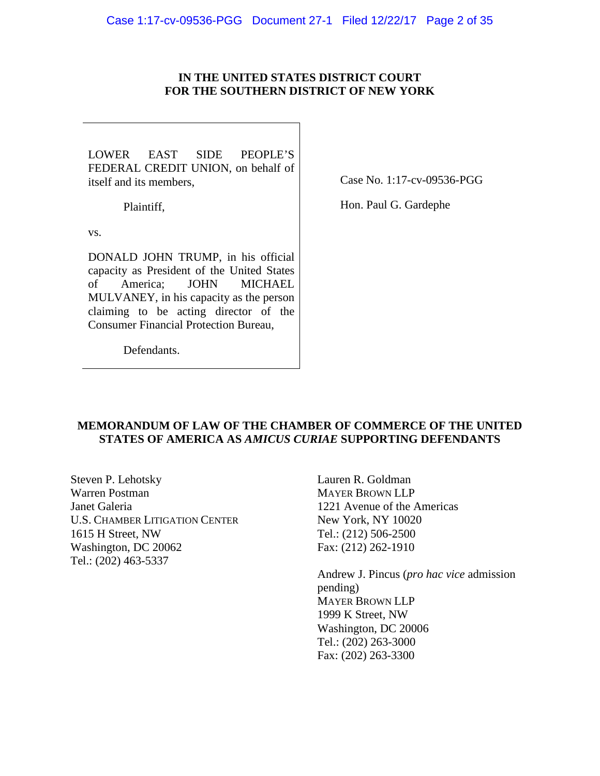### **IN THE UNITED STATES DISTRICT COURT FOR THE SOUTHERN DISTRICT OF NEW YORK**

LOWER EAST SIDE PEOPLE'S FEDERAL CREDIT UNION, on behalf of itself and its members,

Case No. 1:17-cv-09536-PGG

Plaintiff,

Hon. Paul G. Gardephe

vs.

DONALD JOHN TRUMP, in his official capacity as President of the United States of America; JOHN MICHAEL MULVANEY, in his capacity as the person claiming to be acting director of the Consumer Financial Protection Bureau,

Defendants.

## **MEMORANDUM OF LAW OF THE CHAMBER OF COMMERCE OF THE UNITED STATES OF AMERICA AS** *AMICUS CURIAE* **SUPPORTING DEFENDANTS**

Steven P. Lehotsky Warren Postman Janet Galeria U.S. CHAMBER LITIGATION CENTER 1615 H Street, NW Washington, DC 20062 Tel.: (202) 463-5337

Lauren R. Goldman MAYER BROWN LLP 1221 Avenue of the Americas New York, NY 10020 Tel.: (212) 506-2500 Fax: (212) 262-1910

Andrew J. Pincus (*pro hac vice* admission pending) MAYER BROWN LLP 1999 K Street, NW Washington, DC 20006 Tel.: (202) 263-3000 Fax: (202) 263-3300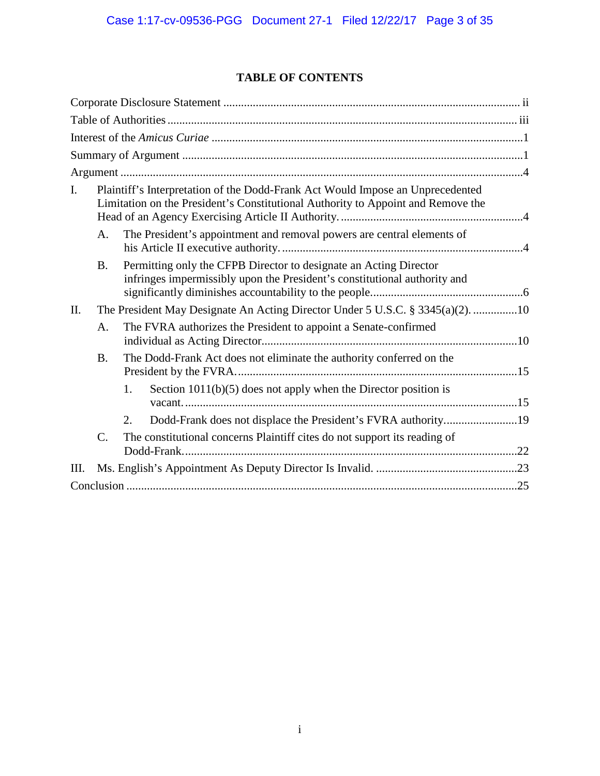# **TABLE OF CONTENTS**

| $\mathbf{I}$ . | Plaintiff's Interpretation of the Dodd-Frank Act Would Impose an Unprecedented<br>Limitation on the President's Constitutional Authority to Appoint and Remove the |                                                                                                                                                |  |
|----------------|--------------------------------------------------------------------------------------------------------------------------------------------------------------------|------------------------------------------------------------------------------------------------------------------------------------------------|--|
|                | A.                                                                                                                                                                 | The President's appointment and removal powers are central elements of                                                                         |  |
|                | <b>B.</b>                                                                                                                                                          | Permitting only the CFPB Director to designate an Acting Director<br>infringes impermissibly upon the President's constitutional authority and |  |
| II.            | The President May Designate An Acting Director Under 5 U.S.C. § 3345(a)(2). 10                                                                                     |                                                                                                                                                |  |
|                | A.                                                                                                                                                                 | The FVRA authorizes the President to appoint a Senate-confirmed                                                                                |  |
|                | <b>B.</b>                                                                                                                                                          | The Dodd-Frank Act does not eliminate the authority conferred on the                                                                           |  |
|                |                                                                                                                                                                    | Section $1011(b)(5)$ does not apply when the Director position is<br>1.                                                                        |  |
|                |                                                                                                                                                                    | Dodd-Frank does not displace the President's FVRA authority19<br>2.                                                                            |  |
|                | $C_{\cdot}$                                                                                                                                                        | The constitutional concerns Plaintiff cites do not support its reading of                                                                      |  |
| Ш.             |                                                                                                                                                                    |                                                                                                                                                |  |
|                |                                                                                                                                                                    |                                                                                                                                                |  |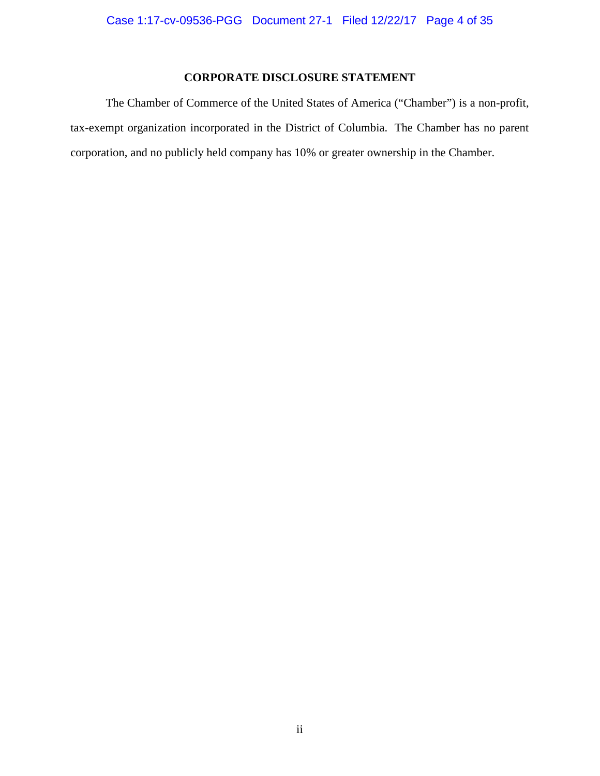## **CORPORATE DISCLOSURE STATEMENT**

The Chamber of Commerce of the United States of America ("Chamber") is a non-profit, tax-exempt organization incorporated in the District of Columbia. The Chamber has no parent corporation, and no publicly held company has 10% or greater ownership in the Chamber.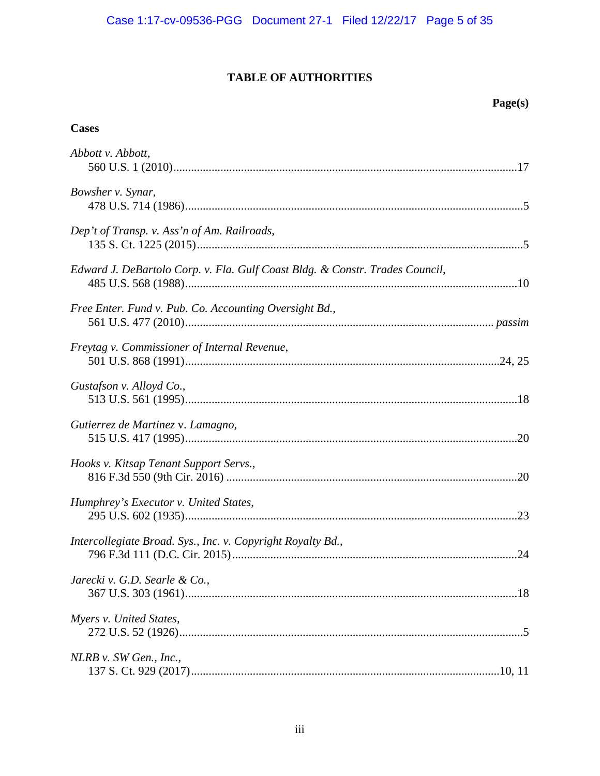# **TABLE OF AUTHORITIES**

## Page(s)

## **Cases**

| Abbott v. Abbott,                                                            |
|------------------------------------------------------------------------------|
| Bowsher v. Synar,                                                            |
| Dep't of Transp. v. Ass'n of Am. Railroads,                                  |
| Edward J. DeBartolo Corp. v. Fla. Gulf Coast Bldg. & Constr. Trades Council, |
| Free Enter. Fund v. Pub. Co. Accounting Oversight Bd.,                       |
| Freytag v. Commissioner of Internal Revenue,                                 |
| Gustafson v. Alloyd Co.,                                                     |
| Gutierrez de Martinez v. Lamagno,                                            |
| Hooks v. Kitsap Tenant Support Servs.,                                       |
| Humphrey's Executor v. United States,                                        |
| Intercollegiate Broad. Sys., Inc. v. Copyright Royalty Bd.,                  |
| Jarecki v. G.D. Searle & Co.,                                                |
| Myers v. United States,                                                      |
| NLRB v. SW Gen., Inc.,                                                       |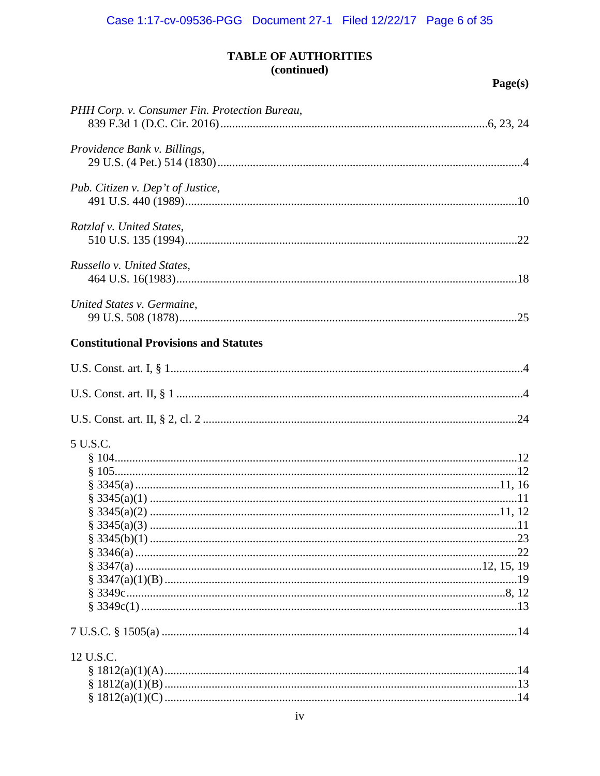| PHH Corp. v. Consumer Fin. Protection Bureau, |  |
|-----------------------------------------------|--|
| Providence Bank v. Billings,                  |  |
| Pub. Citizen v. Dep't of Justice,             |  |
| Ratzlaf v. United States,                     |  |
| Russello v. United States,                    |  |
| United States v. Germaine,                    |  |
| <b>Constitutional Provisions and Statutes</b> |  |
|                                               |  |
|                                               |  |
|                                               |  |
| 5 U.S.C.                                      |  |
|                                               |  |
|                                               |  |
|                                               |  |
|                                               |  |
|                                               |  |
|                                               |  |
|                                               |  |
|                                               |  |
|                                               |  |
|                                               |  |
|                                               |  |
|                                               |  |
| 12 U.S.C.                                     |  |
|                                               |  |
|                                               |  |
|                                               |  |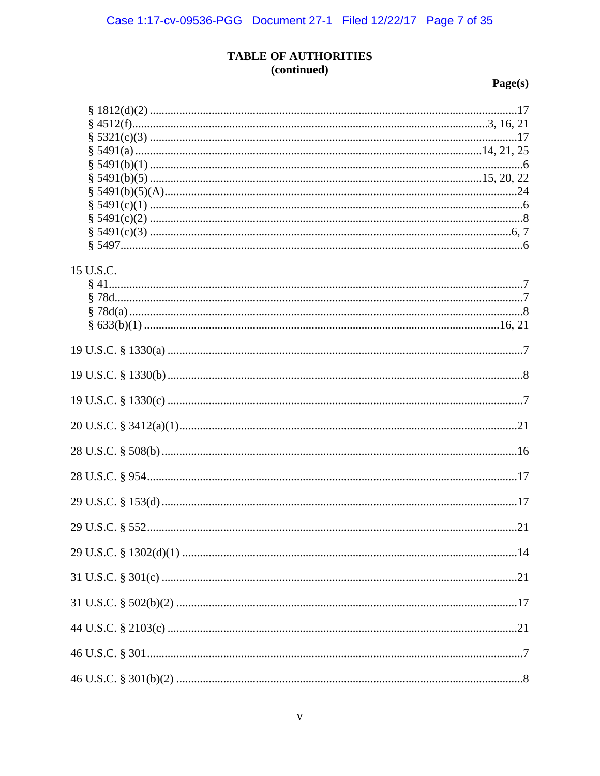| 15 U.S.C. |  |
|-----------|--|
|           |  |
|           |  |
|           |  |
|           |  |
|           |  |
|           |  |
|           |  |
|           |  |
|           |  |
|           |  |
|           |  |
|           |  |
|           |  |
|           |  |
|           |  |
|           |  |
|           |  |
|           |  |
|           |  |
|           |  |
|           |  |
|           |  |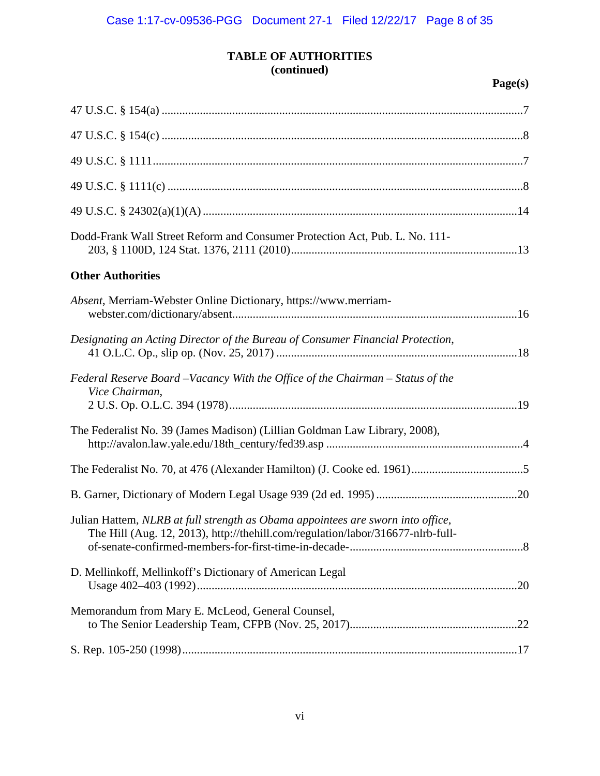| Dodd-Frank Wall Street Reform and Consumer Protection Act, Pub. L. No. 111-                                                                                        |  |
|--------------------------------------------------------------------------------------------------------------------------------------------------------------------|--|
| <b>Other Authorities</b>                                                                                                                                           |  |
| Absent, Merriam-Webster Online Dictionary, https://www.merriam-                                                                                                    |  |
| Designating an Acting Director of the Bureau of Consumer Financial Protection,                                                                                     |  |
| Federal Reserve Board -Vacancy With the Office of the Chairman - Status of the<br>Vice Chairman,                                                                   |  |
| The Federalist No. 39 (James Madison) (Lillian Goldman Law Library, 2008),                                                                                         |  |
|                                                                                                                                                                    |  |
|                                                                                                                                                                    |  |
| Julian Hattem, NLRB at full strength as Obama appointees are sworn into office,<br>The Hill (Aug. 12, 2013), http://thehill.com/regulation/labor/316677-nlrb-full- |  |
| D. Mellinkoff, Mellinkoff's Dictionary of American Legal                                                                                                           |  |
| Memorandum from Mary E. McLeod, General Counsel,                                                                                                                   |  |
|                                                                                                                                                                    |  |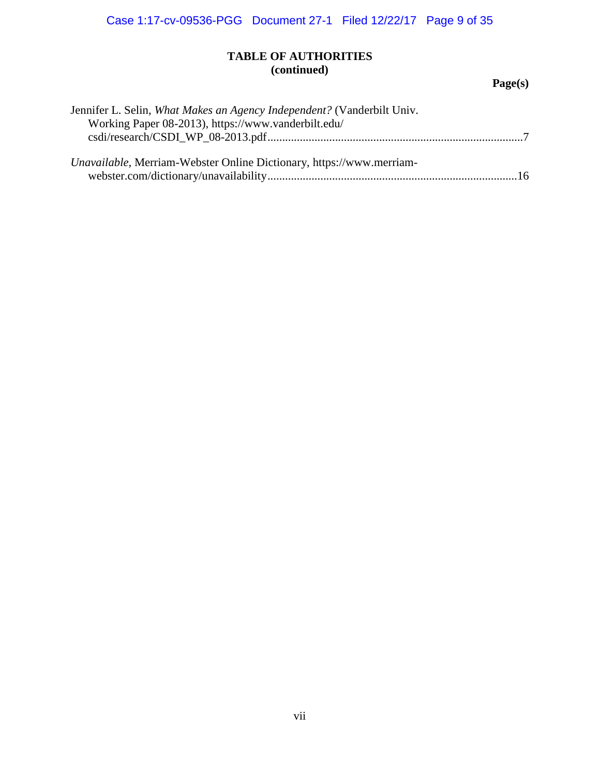| Jennifer L. Selin, What Makes an Agency Independent? (Vanderbilt Univ. |  |
|------------------------------------------------------------------------|--|
| Working Paper 08-2013), https://www.vanderbilt.edu/                    |  |
|                                                                        |  |
|                                                                        |  |
| Unavailable, Merriam-Webster Online Dictionary, https://www.merriam-   |  |
|                                                                        |  |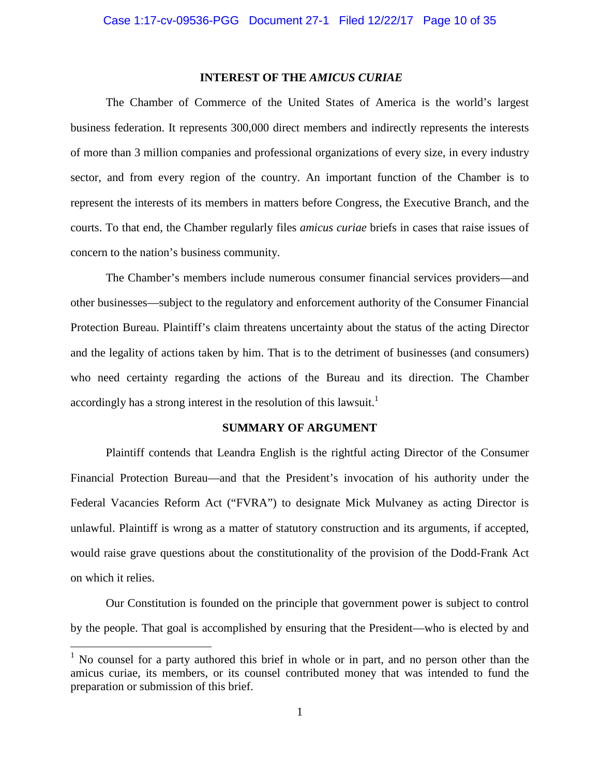#### **INTEREST OF THE** *AMICUS CURIAE*

The Chamber of Commerce of the United States of America is the world's largest business federation. It represents 300,000 direct members and indirectly represents the interests of more than 3 million companies and professional organizations of every size, in every industry sector, and from every region of the country. An important function of the Chamber is to represent the interests of its members in matters before Congress, the Executive Branch, and the courts. To that end, the Chamber regularly files *amicus curiae* briefs in cases that raise issues of concern to the nation's business community.

The Chamber's members include numerous consumer financial services providers—and other businesses—subject to the regulatory and enforcement authority of the Consumer Financial Protection Bureau. Plaintiff's claim threatens uncertainty about the status of the acting Director and the legality of actions taken by him. That is to the detriment of businesses (and consumers) who need certainty regarding the actions of the Bureau and its direction. The Chamber accordingly has a strong interest in the resolution of this lawsuit.<sup>1</sup>

#### **SUMMARY OF ARGUMENT**

Plaintiff contends that Leandra English is the rightful acting Director of the Consumer Financial Protection Bureau—and that the President's invocation of his authority under the Federal Vacancies Reform Act ("FVRA") to designate Mick Mulvaney as acting Director is unlawful. Plaintiff is wrong as a matter of statutory construction and its arguments, if accepted, would raise grave questions about the constitutionality of the provision of the Dodd-Frank Act on which it relies.

Our Constitution is founded on the principle that government power is subject to control by the people. That goal is accomplished by ensuring that the President—who is elected by and

 $<sup>1</sup>$  No counsel for a party authored this brief in whole or in part, and no person other than the</sup> amicus curiae, its members, or its counsel contributed money that was intended to fund the preparation or submission of this brief.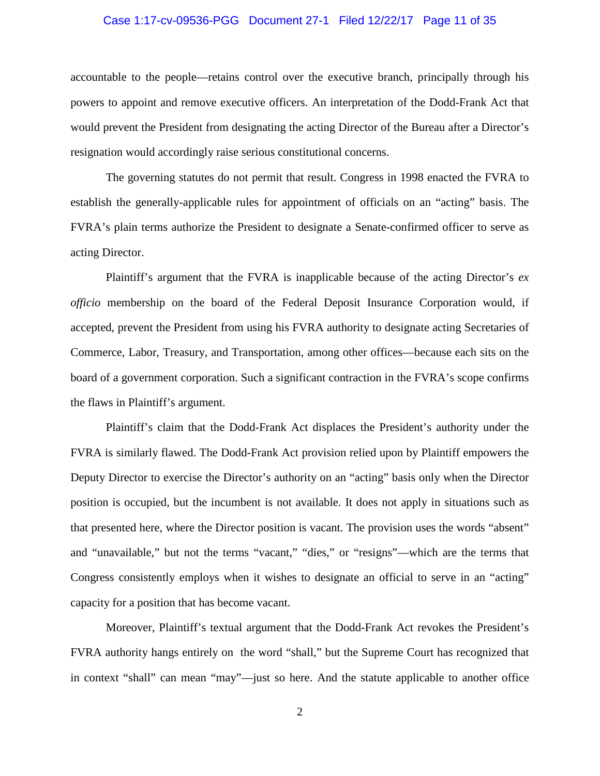#### Case 1:17-cv-09536-PGG Document 27-1 Filed 12/22/17 Page 11 of 35

accountable to the people—retains control over the executive branch, principally through his powers to appoint and remove executive officers. An interpretation of the Dodd-Frank Act that would prevent the President from designating the acting Director of the Bureau after a Director's resignation would accordingly raise serious constitutional concerns.

The governing statutes do not permit that result. Congress in 1998 enacted the FVRA to establish the generally-applicable rules for appointment of officials on an "acting" basis. The FVRA's plain terms authorize the President to designate a Senate-confirmed officer to serve as acting Director.

Plaintiff's argument that the FVRA is inapplicable because of the acting Director's *ex officio* membership on the board of the Federal Deposit Insurance Corporation would, if accepted, prevent the President from using his FVRA authority to designate acting Secretaries of Commerce, Labor, Treasury, and Transportation, among other offices—because each sits on the board of a government corporation. Such a significant contraction in the FVRA's scope confirms the flaws in Plaintiff's argument.

Plaintiff's claim that the Dodd-Frank Act displaces the President's authority under the FVRA is similarly flawed. The Dodd-Frank Act provision relied upon by Plaintiff empowers the Deputy Director to exercise the Director's authority on an "acting" basis only when the Director position is occupied, but the incumbent is not available. It does not apply in situations such as that presented here, where the Director position is vacant. The provision uses the words "absent" and "unavailable," but not the terms "vacant," "dies," or "resigns"—which are the terms that Congress consistently employs when it wishes to designate an official to serve in an "acting" capacity for a position that has become vacant.

Moreover, Plaintiff's textual argument that the Dodd-Frank Act revokes the President's FVRA authority hangs entirely on the word "shall," but the Supreme Court has recognized that in context "shall" can mean "may"—just so here. And the statute applicable to another office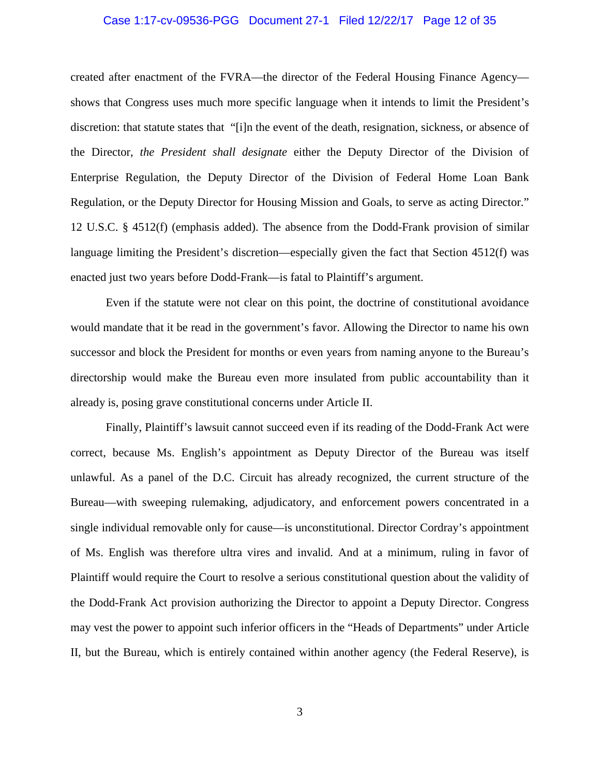#### Case 1:17-cv-09536-PGG Document 27-1 Filed 12/22/17 Page 12 of 35

created after enactment of the FVRA—the director of the Federal Housing Finance Agency shows that Congress uses much more specific language when it intends to limit the President's discretion: that statute states that "[i]n the event of the death, resignation, sickness, or absence of the Director, *the President shall designate* either the Deputy Director of the Division of Enterprise Regulation, the Deputy Director of the Division of Federal Home Loan Bank Regulation, or the Deputy Director for Housing Mission and Goals, to serve as acting Director." 12 U.S.C. § 4512(f) (emphasis added). The absence from the Dodd-Frank provision of similar language limiting the President's discretion—especially given the fact that Section 4512(f) was enacted just two years before Dodd-Frank—is fatal to Plaintiff's argument.

Even if the statute were not clear on this point, the doctrine of constitutional avoidance would mandate that it be read in the government's favor. Allowing the Director to name his own successor and block the President for months or even years from naming anyone to the Bureau's directorship would make the Bureau even more insulated from public accountability than it already is, posing grave constitutional concerns under Article II.

Finally, Plaintiff's lawsuit cannot succeed even if its reading of the Dodd-Frank Act were correct, because Ms. English's appointment as Deputy Director of the Bureau was itself unlawful. As a panel of the D.C. Circuit has already recognized, the current structure of the Bureau—with sweeping rulemaking, adjudicatory, and enforcement powers concentrated in a single individual removable only for cause—is unconstitutional. Director Cordray's appointment of Ms. English was therefore ultra vires and invalid. And at a minimum, ruling in favor of Plaintiff would require the Court to resolve a serious constitutional question about the validity of the Dodd-Frank Act provision authorizing the Director to appoint a Deputy Director. Congress may vest the power to appoint such inferior officers in the "Heads of Departments" under Article II, but the Bureau, which is entirely contained within another agency (the Federal Reserve), is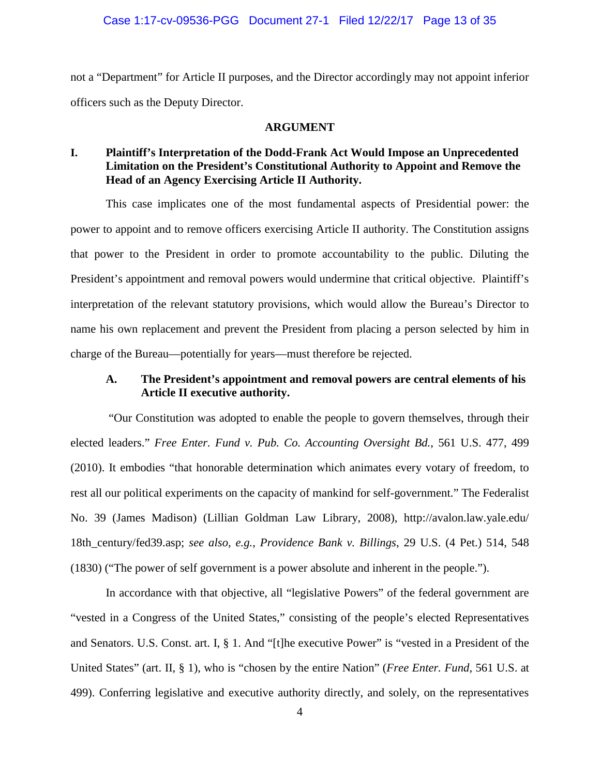not a "Department" for Article II purposes, and the Director accordingly may not appoint inferior officers such as the Deputy Director.

#### **ARGUMENT**

## **I. Plaintiff's Interpretation of the Dodd-Frank Act Would Impose an Unprecedented Limitation on the President's Constitutional Authority to Appoint and Remove the Head of an Agency Exercising Article II Authority.**

This case implicates one of the most fundamental aspects of Presidential power: the power to appoint and to remove officers exercising Article II authority. The Constitution assigns that power to the President in order to promote accountability to the public. Diluting the President's appointment and removal powers would undermine that critical objective. Plaintiff's interpretation of the relevant statutory provisions, which would allow the Bureau's Director to name his own replacement and prevent the President from placing a person selected by him in charge of the Bureau—potentially for years—must therefore be rejected.

## **A. The President's appointment and removal powers are central elements of his Article II executive authority.**

"Our Constitution was adopted to enable the people to govern themselves, through their elected leaders." *Free Enter. Fund v. Pub. Co. Accounting Oversight Bd.*, 561 U.S. 477, 499 (2010). It embodies "that honorable determination which animates every votary of freedom, to rest all our political experiments on the capacity of mankind for self-government." The Federalist No. 39 (James Madison) (Lillian Goldman Law Library, 2008), http://avalon.law.yale.edu/ 18th\_century/fed39.asp; *see also, e.g.*, *Providence Bank v. Billings*, 29 U.S. (4 Pet.) 514, 548 (1830) ("The power of self government is a power absolute and inherent in the people.").

In accordance with that objective, all "legislative Powers" of the federal government are "vested in a Congress of the United States," consisting of the people's elected Representatives and Senators. U.S. Const. art. I, § 1. And "[t]he executive Power" is "vested in a President of the United States" (art. II, § 1), who is "chosen by the entire Nation" (*Free Enter. Fund*, 561 U.S. at 499). Conferring legislative and executive authority directly, and solely, on the representatives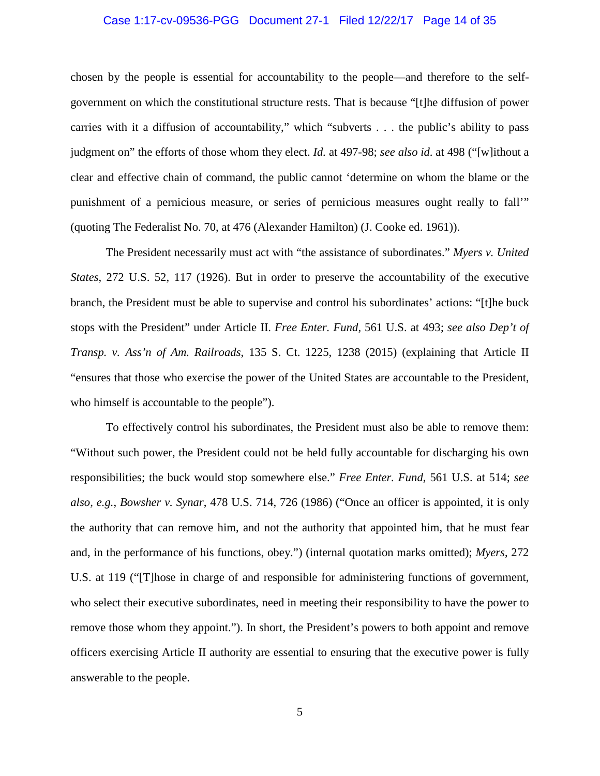#### Case 1:17-cv-09536-PGG Document 27-1 Filed 12/22/17 Page 14 of 35

chosen by the people is essential for accountability to the people—and therefore to the selfgovernment on which the constitutional structure rests. That is because "[t]he diffusion of power carries with it a diffusion of accountability," which "subverts . . . the public's ability to pass judgment on" the efforts of those whom they elect. *Id.* at 497-98; *see also id*. at 498 ("[w]ithout a clear and effective chain of command, the public cannot 'determine on whom the blame or the punishment of a pernicious measure, or series of pernicious measures ought really to fall'" (quoting The Federalist No. 70, at 476 (Alexander Hamilton) (J. Cooke ed. 1961)).

The President necessarily must act with "the assistance of subordinates." *Myers v. United States*, 272 U.S. 52, 117 (1926). But in order to preserve the accountability of the executive branch, the President must be able to supervise and control his subordinates' actions: "[t]he buck stops with the President" under Article II. *Free Enter. Fund*, 561 U.S. at 493; *see also Dep't of Transp. v. Ass'n of Am. Railroads*, 135 S. Ct. 1225, 1238 (2015) (explaining that Article II "ensures that those who exercise the power of the United States are accountable to the President, who himself is accountable to the people").

To effectively control his subordinates, the President must also be able to remove them: "Without such power, the President could not be held fully accountable for discharging his own responsibilities; the buck would stop somewhere else." *Free Enter. Fund*, 561 U.S. at 514; *see also, e.g.*, *Bowsher v. Synar*, 478 U.S. 714, 726 (1986) ("Once an officer is appointed, it is only the authority that can remove him, and not the authority that appointed him, that he must fear and, in the performance of his functions, obey.") (internal quotation marks omitted); *Myers*, 272 U.S. at 119 ("[T]hose in charge of and responsible for administering functions of government, who select their executive subordinates, need in meeting their responsibility to have the power to remove those whom they appoint."). In short, the President's powers to both appoint and remove officers exercising Article II authority are essential to ensuring that the executive power is fully answerable to the people.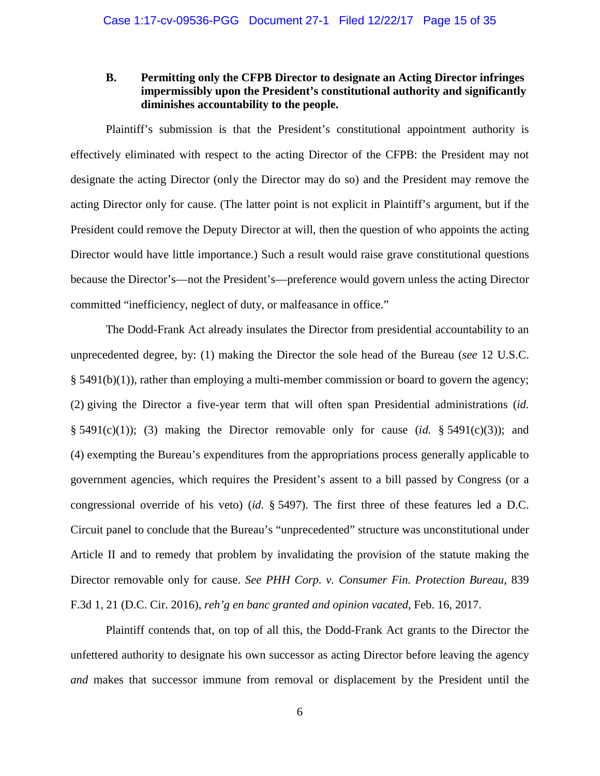## **B. Permitting only the CFPB Director to designate an Acting Director infringes impermissibly upon the President's constitutional authority and significantly diminishes accountability to the people.**

Plaintiff's submission is that the President's constitutional appointment authority is effectively eliminated with respect to the acting Director of the CFPB: the President may not designate the acting Director (only the Director may do so) and the President may remove the acting Director only for cause. (The latter point is not explicit in Plaintiff's argument, but if the President could remove the Deputy Director at will, then the question of who appoints the acting Director would have little importance.) Such a result would raise grave constitutional questions because the Director's—not the President's—preference would govern unless the acting Director committed "inefficiency, neglect of duty, or malfeasance in office."

The Dodd-Frank Act already insulates the Director from presidential accountability to an unprecedented degree, by: (1) making the Director the sole head of the Bureau (*see* 12 U.S.C.  $§$  5491(b)(1)), rather than employing a multi-member commission or board to govern the agency; (2) giving the Director a five-year term that will often span Presidential administrations (*id.* § 5491(c)(1)); (3) making the Director removable only for cause  $(id. § 5491(c)(3))$ ; and (4) exempting the Bureau's expenditures from the appropriations process generally applicable to government agencies, which requires the President's assent to a bill passed by Congress (or a congressional override of his veto) (*id.* § 5497). The first three of these features led a D.C. Circuit panel to conclude that the Bureau's "unprecedented" structure was unconstitutional under Article II and to remedy that problem by invalidating the provision of the statute making the Director removable only for cause. *See PHH Corp. v. Consumer Fin. Protection Bureau*, 839 F.3d 1, 21 (D.C. Cir. 2016), *reh'g en banc granted and opinion vacated*, Feb. 16, 2017.

Plaintiff contends that, on top of all this, the Dodd-Frank Act grants to the Director the unfettered authority to designate his own successor as acting Director before leaving the agency *and* makes that successor immune from removal or displacement by the President until the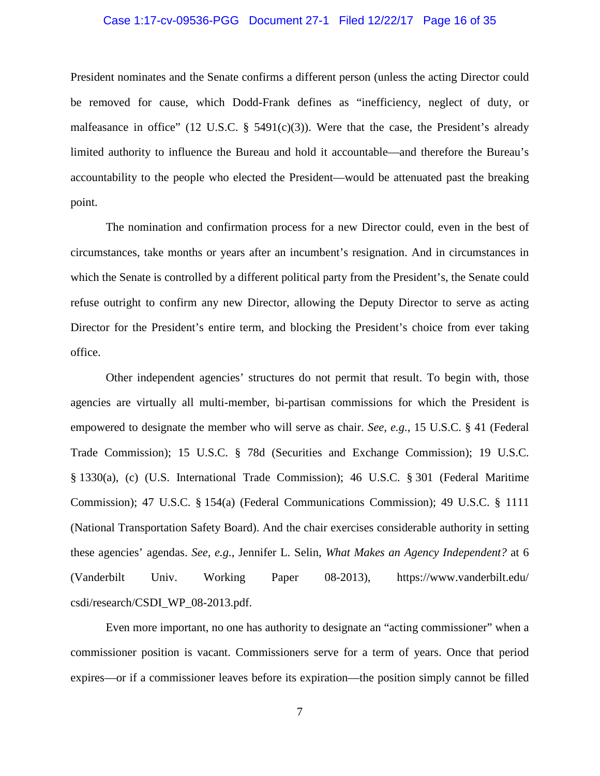#### Case 1:17-cv-09536-PGG Document 27-1 Filed 12/22/17 Page 16 of 35

President nominates and the Senate confirms a different person (unless the acting Director could be removed for cause, which Dodd-Frank defines as "inefficiency, neglect of duty, or malfeasance in office" (12 U.S.C.  $\S$  5491(c)(3)). Were that the case, the President's already limited authority to influence the Bureau and hold it accountable—and therefore the Bureau's accountability to the people who elected the President—would be attenuated past the breaking point.

The nomination and confirmation process for a new Director could, even in the best of circumstances, take months or years after an incumbent's resignation. And in circumstances in which the Senate is controlled by a different political party from the President's, the Senate could refuse outright to confirm any new Director, allowing the Deputy Director to serve as acting Director for the President's entire term, and blocking the President's choice from ever taking office.

Other independent agencies' structures do not permit that result. To begin with, those agencies are virtually all multi-member, bi-partisan commissions for which the President is empowered to designate the member who will serve as chair. *See, e.g.*, 15 U.S.C. § 41 (Federal Trade Commission); 15 U.S.C. § 78d (Securities and Exchange Commission); 19 U.S.C. § 1330(a), (c) (U.S. International Trade Commission); 46 U.S.C. § 301 (Federal Maritime Commission); 47 U.S.C. § 154(a) (Federal Communications Commission); 49 U.S.C. § 1111 (National Transportation Safety Board). And the chair exercises considerable authority in setting these agencies' agendas. *See, e.g.*, Jennifer L. Selin, *What Makes an Agency Independent?* at 6 (Vanderbilt Univ. Working Paper 08-2013), https://www.vanderbilt.edu/ csdi/research/CSDI\_WP\_08-2013.pdf.

Even more important, no one has authority to designate an "acting commissioner" when a commissioner position is vacant. Commissioners serve for a term of years. Once that period expires—or if a commissioner leaves before its expiration—the position simply cannot be filled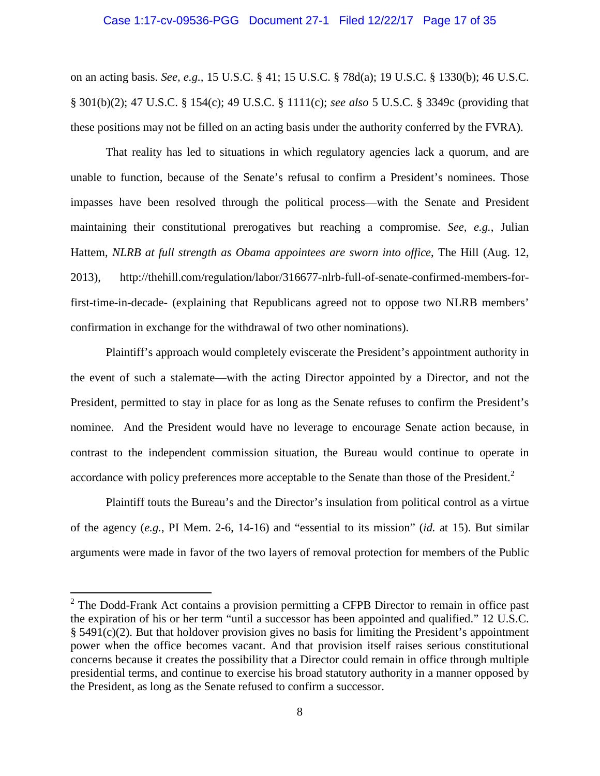#### Case 1:17-cv-09536-PGG Document 27-1 Filed 12/22/17 Page 17 of 35

on an acting basis. *See, e.g.,* 15 U.S.C. § 41; 15 U.S.C. § 78d(a); 19 U.S.C. § 1330(b); 46 U.S.C. § 301(b)(2); 47 U.S.C. § 154(c); 49 U.S.C. § 1111(c); *see also* 5 U.S.C. § 3349c (providing that these positions may not be filled on an acting basis under the authority conferred by the FVRA).

That reality has led to situations in which regulatory agencies lack a quorum, and are unable to function, because of the Senate's refusal to confirm a President's nominees. Those impasses have been resolved through the political process—with the Senate and President maintaining their constitutional prerogatives but reaching a compromise. *See, e.g.*, Julian Hattem, *NLRB at full strength as Obama appointees are sworn into office*, The Hill (Aug. 12, 2013), http://thehill.com/regulation/labor/316677-nlrb-full-of-senate-confirmed-members-forfirst-time-in-decade- (explaining that Republicans agreed not to oppose two NLRB members' confirmation in exchange for the withdrawal of two other nominations).

Plaintiff's approach would completely eviscerate the President's appointment authority in the event of such a stalemate—with the acting Director appointed by a Director, and not the President, permitted to stay in place for as long as the Senate refuses to confirm the President's nominee. And the President would have no leverage to encourage Senate action because, in contrast to the independent commission situation, the Bureau would continue to operate in accordance with policy preferences more acceptable to the Senate than those of the President.<sup>2</sup>

Plaintiff touts the Bureau's and the Director's insulation from political control as a virtue of the agency (*e.g.*, PI Mem. 2-6, 14-16) and "essential to its mission" (*id.* at 15). But similar arguments were made in favor of the two layers of removal protection for members of the Public

 $2^2$  The Dodd-Frank Act contains a provision permitting a CFPB Director to remain in office past the expiration of his or her term "until a successor has been appointed and qualified." 12 U.S.C. § 5491(c)(2). But that holdover provision gives no basis for limiting the President's appointment power when the office becomes vacant. And that provision itself raises serious constitutional concerns because it creates the possibility that a Director could remain in office through multiple presidential terms, and continue to exercise his broad statutory authority in a manner opposed by the President, as long as the Senate refused to confirm a successor.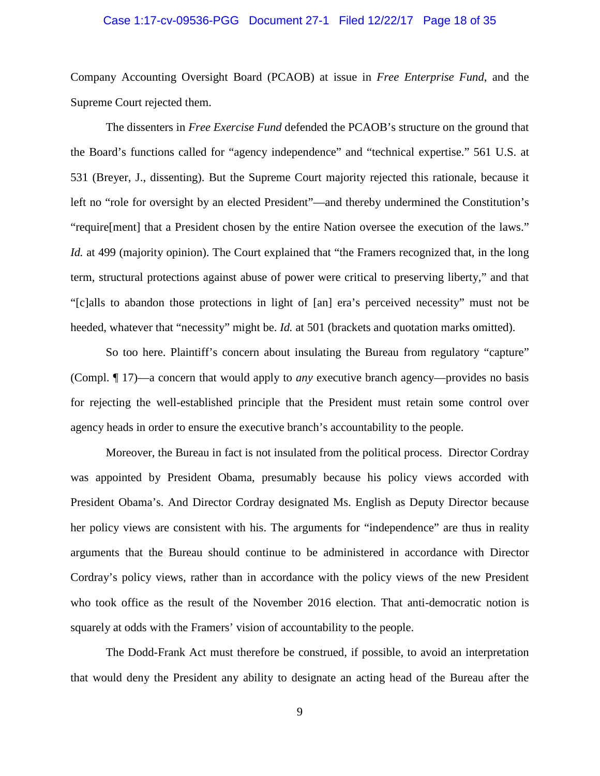#### Case 1:17-cv-09536-PGG Document 27-1 Filed 12/22/17 Page 18 of 35

Company Accounting Oversight Board (PCAOB) at issue in *Free Enterprise Fund*, and the Supreme Court rejected them.

The dissenters in *Free Exercise Fund* defended the PCAOB's structure on the ground that the Board's functions called for "agency independence" and "technical expertise." 561 U.S. at 531 (Breyer, J., dissenting). But the Supreme Court majority rejected this rationale, because it left no "role for oversight by an elected President"—and thereby undermined the Constitution's "require[ment] that a President chosen by the entire Nation oversee the execution of the laws." *Id.* at 499 (majority opinion). The Court explained that "the Framers recognized that, in the long term, structural protections against abuse of power were critical to preserving liberty," and that "[c]alls to abandon those protections in light of [an] era's perceived necessity" must not be heeded, whatever that "necessity" might be. *Id.* at 501 (brackets and quotation marks omitted).

So too here. Plaintiff's concern about insulating the Bureau from regulatory "capture" (Compl. ¶ 17)—a concern that would apply to *any* executive branch agency—provides no basis for rejecting the well-established principle that the President must retain some control over agency heads in order to ensure the executive branch's accountability to the people.

Moreover, the Bureau in fact is not insulated from the political process. Director Cordray was appointed by President Obama, presumably because his policy views accorded with President Obama's. And Director Cordray designated Ms. English as Deputy Director because her policy views are consistent with his. The arguments for "independence" are thus in reality arguments that the Bureau should continue to be administered in accordance with Director Cordray's policy views, rather than in accordance with the policy views of the new President who took office as the result of the November 2016 election. That anti-democratic notion is squarely at odds with the Framers' vision of accountability to the people.

The Dodd-Frank Act must therefore be construed, if possible, to avoid an interpretation that would deny the President any ability to designate an acting head of the Bureau after the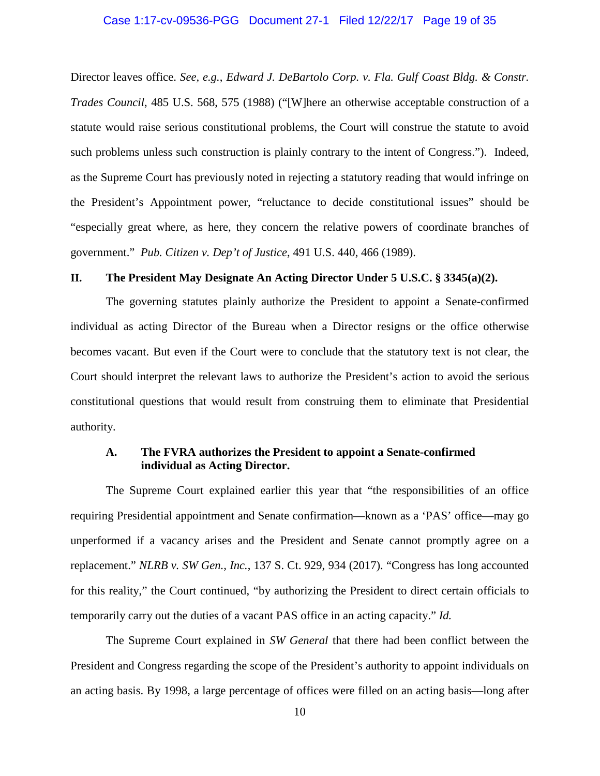#### Case 1:17-cv-09536-PGG Document 27-1 Filed 12/22/17 Page 19 of 35

Director leaves office. *See, e.g.*, *Edward J. DeBartolo Corp. v. Fla. Gulf Coast Bldg. & Constr. Trades Council*, 485 U.S. 568, 575 (1988) ("[W]here an otherwise acceptable construction of a statute would raise serious constitutional problems, the Court will construe the statute to avoid such problems unless such construction is plainly contrary to the intent of Congress."). Indeed, as the Supreme Court has previously noted in rejecting a statutory reading that would infringe on the President's Appointment power, "reluctance to decide constitutional issues" should be "especially great where, as here, they concern the relative powers of coordinate branches of government." *Pub. Citizen v. Dep't of Justice*, 491 U.S. 440, 466 (1989).

#### **II. The President May Designate An Acting Director Under 5 U.S.C. § 3345(a)(2).**

The governing statutes plainly authorize the President to appoint a Senate-confirmed individual as acting Director of the Bureau when a Director resigns or the office otherwise becomes vacant. But even if the Court were to conclude that the statutory text is not clear, the Court should interpret the relevant laws to authorize the President's action to avoid the serious constitutional questions that would result from construing them to eliminate that Presidential authority.

## **A. The FVRA authorizes the President to appoint a Senate-confirmed individual as Acting Director.**

The Supreme Court explained earlier this year that "the responsibilities of an office requiring Presidential appointment and Senate confirmation—known as a 'PAS' office—may go unperformed if a vacancy arises and the President and Senate cannot promptly agree on a replacement." *NLRB v. SW Gen., Inc.*, 137 S. Ct. 929, 934 (2017). "Congress has long accounted for this reality," the Court continued, "by authorizing the President to direct certain officials to temporarily carry out the duties of a vacant PAS office in an acting capacity." *Id.*

The Supreme Court explained in *SW General* that there had been conflict between the President and Congress regarding the scope of the President's authority to appoint individuals on an acting basis. By 1998, a large percentage of offices were filled on an acting basis—long after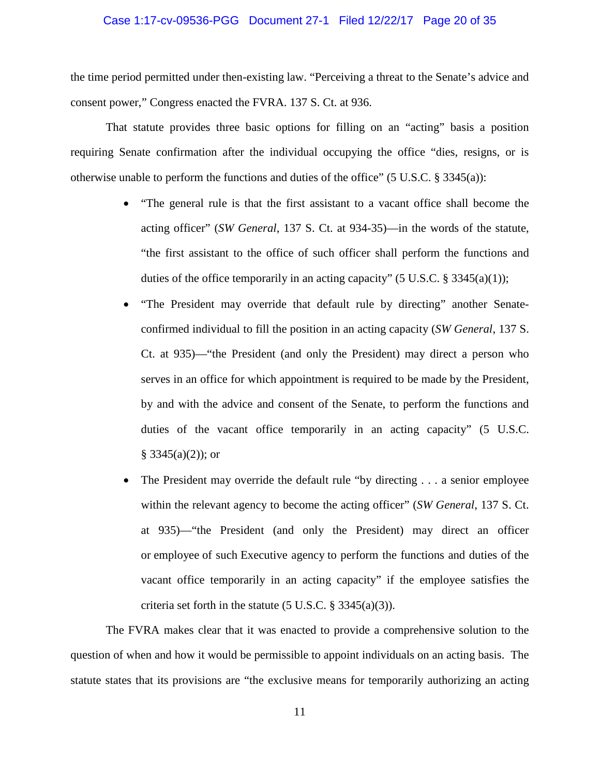#### Case 1:17-cv-09536-PGG Document 27-1 Filed 12/22/17 Page 20 of 35

the time period permitted under then-existing law. "Perceiving a threat to the Senate's advice and consent power," Congress enacted the FVRA. 137 S. Ct. at 936.

That statute provides three basic options for filling on an "acting" basis a position requiring Senate confirmation after the individual occupying the office "dies, resigns, or is otherwise unable to perform the functions and duties of the office" (5 U.S.C. § 3345(a)):

- "The general rule is that the first assistant to a vacant office shall become the acting officer" (*SW General*, 137 S. Ct. at 934-35)—in the words of the statute, "the first assistant to the office of such officer shall perform the functions and duties of the office temporarily in an acting capacity" (5 U.S.C.  $\S 3345(a)(1)$ );
- "The President may override that default rule by directing" another Senateconfirmed individual to fill the position in an acting capacity (*SW General*, 137 S. Ct. at 935)—"the President (and only the President) may direct a person who serves in an office for which appointment is required to be made by the President, by and with the advice and consent of the Senate, to perform the functions and duties of the vacant office temporarily in an acting capacity" (5 U.S.C.  $§ 3345(a)(2)$ ; or
- The President may override the default rule "by directing . . . a senior employee within the relevant agency to become the acting officer" (*SW General*, 137 S. Ct. at 935)—"the President (and only the President) may direct an officer or employee of such Executive agency to perform the functions and duties of the vacant office temporarily in an acting capacity" if the employee satisfies the criteria set forth in the statute  $(5 \text{ U.S.C.} \S 3345(a)(3))$ .

The FVRA makes clear that it was enacted to provide a comprehensive solution to the question of when and how it would be permissible to appoint individuals on an acting basis. The statute states that its provisions are "the exclusive means for temporarily authorizing an acting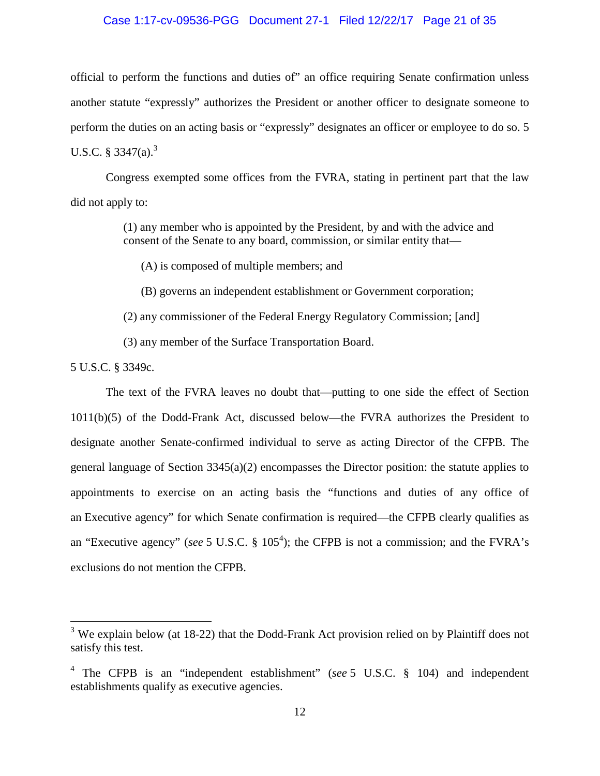#### Case 1:17-cv-09536-PGG Document 27-1 Filed 12/22/17 Page 21 of 35

official to perform the functions and duties of" an office requiring Senate confirmation unless another statute "expressly" authorizes the President or another officer to designate someone to perform the duties on an acting basis or "expressly" designates an officer or employee to do so. 5 U.S.C.  $8 \frac{3347(a)^3}{a^3}$ 

Congress exempted some offices from the FVRA, stating in pertinent part that the law did not apply to:

> (1) any member who is appointed by the President, by and with the advice and consent of the Senate to any board, commission, or similar entity that—

(A) is composed of multiple members; and

(B) governs an independent establishment or Government corporation;

(2) any commissioner of the Federal Energy Regulatory Commission; [and]

(3) any member of the Surface Transportation Board.

5 U.S.C. § 3349c.

The text of the FVRA leaves no doubt that—putting to one side the effect of Section 1011(b)(5) of the Dodd-Frank Act, discussed below—the FVRA authorizes the President to designate another Senate-confirmed individual to serve as acting Director of the CFPB. The general language of Section 3345(a)(2) encompasses the Director position: the statute applies to appointments to exercise on an acting basis the "functions and duties of any office of an Executive agency" for which Senate confirmation is required—the CFPB clearly qualifies as an "Executive agency" (*see* 5 U.S.C. § 105<sup>4</sup>); the CFPB is not a commission; and the FVRA's exclusions do not mention the CFPB.

 $3$  We explain below (at 18-22) that the Dodd-Frank Act provision relied on by Plaintiff does not satisfy this test.

<sup>4</sup> The CFPB is an "independent establishment" (*see* 5 U.S.C. § 104) and independent establishments qualify as executive agencies.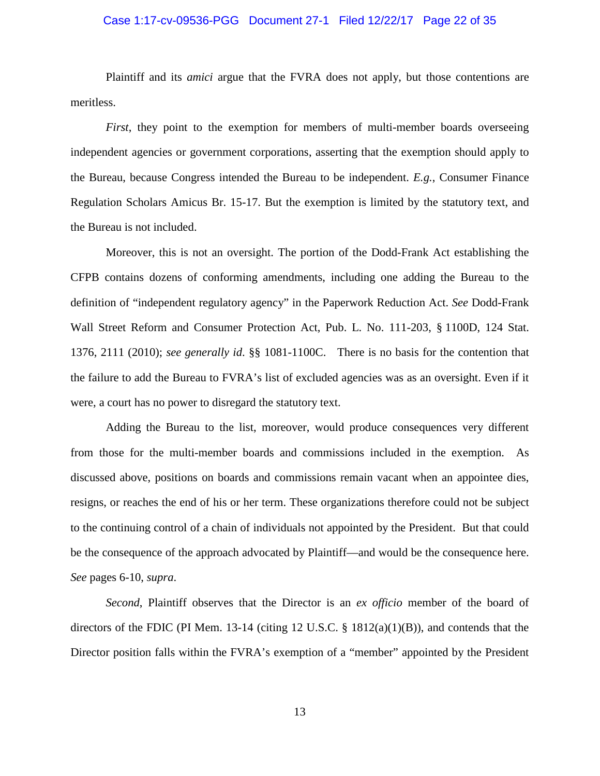#### Case 1:17-cv-09536-PGG Document 27-1 Filed 12/22/17 Page 22 of 35

Plaintiff and its *amici* argue that the FVRA does not apply, but those contentions are meritless.

*First*, they point to the exemption for members of multi-member boards overseeing independent agencies or government corporations, asserting that the exemption should apply to the Bureau, because Congress intended the Bureau to be independent. *E.g.*, Consumer Finance Regulation Scholars Amicus Br. 15-17. But the exemption is limited by the statutory text, and the Bureau is not included.

Moreover, this is not an oversight. The portion of the Dodd-Frank Act establishing the CFPB contains dozens of conforming amendments, including one adding the Bureau to the definition of "independent regulatory agency" in the Paperwork Reduction Act. *See* Dodd-Frank Wall Street Reform and Consumer Protection Act, Pub. L. No. 111-203, § 1100D, 124 Stat. 1376, 2111 (2010); *see generally id*. §§ 1081-1100C. There is no basis for the contention that the failure to add the Bureau to FVRA's list of excluded agencies was as an oversight. Even if it were, a court has no power to disregard the statutory text.

Adding the Bureau to the list, moreover, would produce consequences very different from those for the multi-member boards and commissions included in the exemption. As discussed above, positions on boards and commissions remain vacant when an appointee dies, resigns, or reaches the end of his or her term. These organizations therefore could not be subject to the continuing control of a chain of individuals not appointed by the President. But that could be the consequence of the approach advocated by Plaintiff—and would be the consequence here. *See* pages 6-10, *supra*.

*Second*, Plaintiff observes that the Director is an *ex officio* member of the board of directors of the FDIC (PI Mem. 13-14 (citing 12 U.S.C. § 1812(a)(1)(B)), and contends that the Director position falls within the FVRA's exemption of a "member" appointed by the President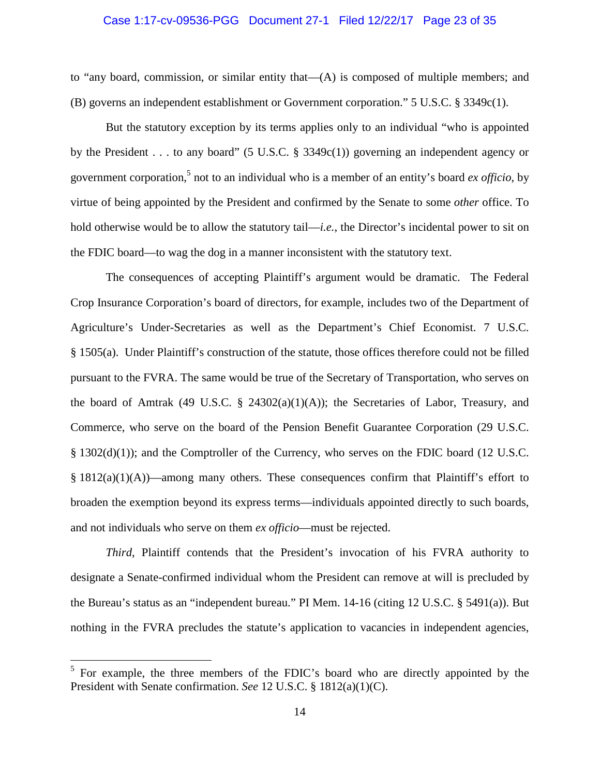#### Case 1:17-cv-09536-PGG Document 27-1 Filed 12/22/17 Page 23 of 35

to "any board, commission, or similar entity that—(A) is composed of multiple members; and (B) governs an independent establishment or Government corporation." 5 U.S.C. § 3349c(1).

But the statutory exception by its terms applies only to an individual "who is appointed by the President . . . to any board" (5 U.S.C. § 3349c(1)) governing an independent agency or government corporation,<sup>5</sup> not to an individual who is a member of an entity's board *ex officio*, by virtue of being appointed by the President and confirmed by the Senate to some *other* office. To hold otherwise would be to allow the statutory tail—*i.e.*, the Director's incidental power to sit on the FDIC board—to wag the dog in a manner inconsistent with the statutory text.

The consequences of accepting Plaintiff's argument would be dramatic. The Federal Crop Insurance Corporation's board of directors, for example, includes two of the Department of Agriculture's Under-Secretaries as well as the Department's Chief Economist. 7 U.S.C. § 1505(a). Under Plaintiff's construction of the statute, those offices therefore could not be filled pursuant to the FVRA. The same would be true of the Secretary of Transportation, who serves on the board of Amtrak (49 U.S.C.  $\S$  24302(a)(1)(A)); the Secretaries of Labor, Treasury, and Commerce, who serve on the board of the Pension Benefit Guarantee Corporation (29 U.S.C. § 1302(d)(1)); and the Comptroller of the Currency, who serves on the FDIC board (12 U.S.C.  $§$  1812(a)(1)(A))—among many others. These consequences confirm that Plaintiff's effort to broaden the exemption beyond its express terms—individuals appointed directly to such boards, and not individuals who serve on them *ex officio*—must be rejected.

*Third*, Plaintiff contends that the President's invocation of his FVRA authority to designate a Senate-confirmed individual whom the President can remove at will is precluded by the Bureau's status as an "independent bureau." PI Mem. 14-16 (citing 12 U.S.C. § 5491(a)). But nothing in the FVRA precludes the statute's application to vacancies in independent agencies,

<sup>&</sup>lt;sup>5</sup> For example, the three members of the FDIC's board who are directly appointed by the President with Senate confirmation. *See* 12 U.S.C. § 1812(a)(1)(C).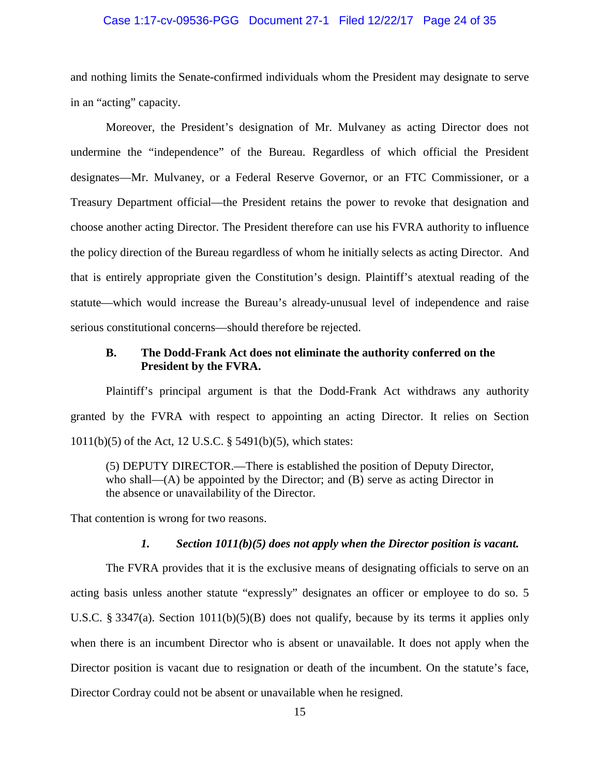#### Case 1:17-cv-09536-PGG Document 27-1 Filed 12/22/17 Page 24 of 35

and nothing limits the Senate-confirmed individuals whom the President may designate to serve in an "acting" capacity.

Moreover, the President's designation of Mr. Mulvaney as acting Director does not undermine the "independence" of the Bureau. Regardless of which official the President designates—Mr. Mulvaney, or a Federal Reserve Governor, or an FTC Commissioner, or a Treasury Department official—the President retains the power to revoke that designation and choose another acting Director. The President therefore can use his FVRA authority to influence the policy direction of the Bureau regardless of whom he initially selects as acting Director. And that is entirely appropriate given the Constitution's design. Plaintiff's atextual reading of the statute—which would increase the Bureau's already-unusual level of independence and raise serious constitutional concerns—should therefore be rejected.

### **B. The Dodd-Frank Act does not eliminate the authority conferred on the President by the FVRA.**

Plaintiff's principal argument is that the Dodd-Frank Act withdraws any authority granted by the FVRA with respect to appointing an acting Director. It relies on Section 1011(b)(5) of the Act, 12 U.S.C. § 5491(b)(5), which states:

(5) DEPUTY DIRECTOR.—There is established the position of Deputy Director, who shall—(A) be appointed by the Director; and (B) serve as acting Director in the absence or unavailability of the Director.

That contention is wrong for two reasons.

#### *1. Section 1011(b)(5) does not apply when the Director position is vacant.*

The FVRA provides that it is the exclusive means of designating officials to serve on an acting basis unless another statute "expressly" designates an officer or employee to do so. 5 U.S.C. § 3347(a). Section 1011(b)(5)(B) does not qualify, because by its terms it applies only when there is an incumbent Director who is absent or unavailable. It does not apply when the Director position is vacant due to resignation or death of the incumbent. On the statute's face, Director Cordray could not be absent or unavailable when he resigned.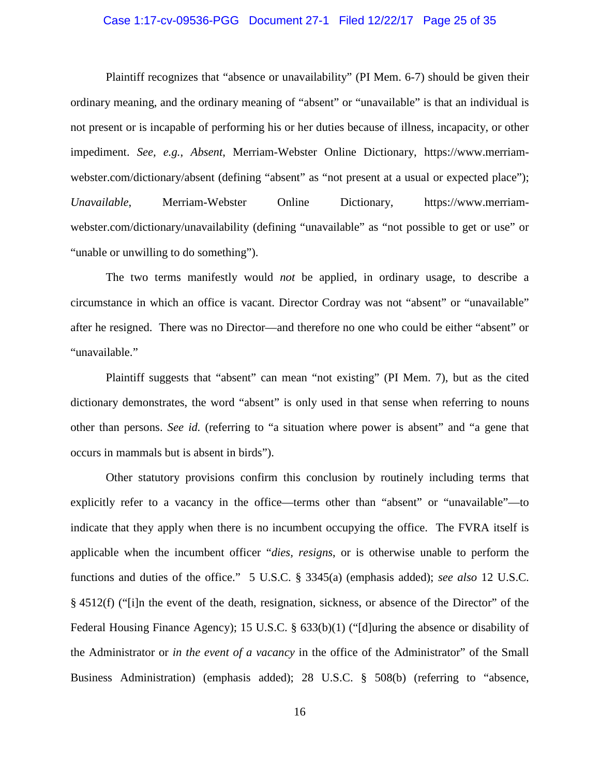#### Case 1:17-cv-09536-PGG Document 27-1 Filed 12/22/17 Page 25 of 35

Plaintiff recognizes that "absence or unavailability" (PI Mem. 6-7) should be given their ordinary meaning, and the ordinary meaning of "absent" or "unavailable" is that an individual is not present or is incapable of performing his or her duties because of illness, incapacity, or other impediment. *See, e.g.*, *Absent*, Merriam-Webster Online Dictionary, https://www.merriamwebster.com/dictionary/absent (defining "absent" as "not present at a usual or expected place"); *Unavailable*, Merriam-Webster Online Dictionary, https://www.merriamwebster.com/dictionary/unavailability (defining "unavailable" as "not possible to get or use" or "unable or unwilling to do something").

The two terms manifestly would *not* be applied, in ordinary usage, to describe a circumstance in which an office is vacant. Director Cordray was not "absent" or "unavailable" after he resigned. There was no Director—and therefore no one who could be either "absent" or "unavailable."

Plaintiff suggests that "absent" can mean "not existing" (PI Mem. 7), but as the cited dictionary demonstrates, the word "absent" is only used in that sense when referring to nouns other than persons. *See id.* (referring to "a situation where power is absent" and "a gene that occurs in mammals but is absent in birds").

Other statutory provisions confirm this conclusion by routinely including terms that explicitly refer to a vacancy in the office—terms other than "absent" or "unavailable"—to indicate that they apply when there is no incumbent occupying the office. The FVRA itself is applicable when the incumbent officer "*dies, resigns*, or is otherwise unable to perform the functions and duties of the office." 5 U.S.C. § 3345(a) (emphasis added); *see also* 12 U.S.C. § 4512(f) ("[i]n the event of the death, resignation, sickness, or absence of the Director" of the Federal Housing Finance Agency); 15 U.S.C. § 633(b)(1) ("[d]uring the absence or disability of the Administrator or *in the event of a vacancy* in the office of the Administrator" of the Small Business Administration) (emphasis added); 28 U.S.C. § 508(b) (referring to "absence,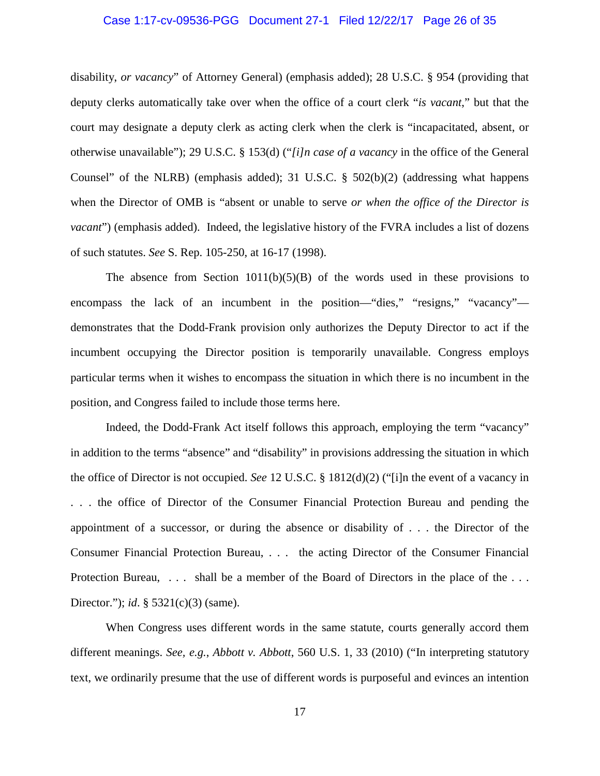#### Case 1:17-cv-09536-PGG Document 27-1 Filed 12/22/17 Page 26 of 35

disability, *or vacancy*" of Attorney General) (emphasis added); 28 U.S.C. § 954 (providing that deputy clerks automatically take over when the office of a court clerk "*is vacant*," but that the court may designate a deputy clerk as acting clerk when the clerk is "incapacitated, absent, or otherwise unavailable"); 29 U.S.C. § 153(d) ("*[i]n case of a vacancy* in the office of the General Counsel" of the NLRB) (emphasis added); 31 U.S.C. § 502(b)(2) (addressing what happens when the Director of OMB is "absent or unable to serve *or when the office of the Director is vacant*") (emphasis added). Indeed, the legislative history of the FVRA includes a list of dozens of such statutes. *See* S. Rep. 105-250, at 16-17 (1998).

The absence from Section  $1011(b)(5)(B)$  of the words used in these provisions to encompass the lack of an incumbent in the position—"dies," "resigns," "vacancy" demonstrates that the Dodd-Frank provision only authorizes the Deputy Director to act if the incumbent occupying the Director position is temporarily unavailable. Congress employs particular terms when it wishes to encompass the situation in which there is no incumbent in the position, and Congress failed to include those terms here.

Indeed, the Dodd-Frank Act itself follows this approach, employing the term "vacancy" in addition to the terms "absence" and "disability" in provisions addressing the situation in which the office of Director is not occupied. *See* 12 U.S.C. § 1812(d)(2) ("[i]n the event of a vacancy in . . . the office of Director of the Consumer Financial Protection Bureau and pending the appointment of a successor, or during the absence or disability of . . . the Director of the Consumer Financial Protection Bureau, . . . the acting Director of the Consumer Financial Protection Bureau, ... shall be a member of the Board of Directors in the place of the ... Director."); *id*. § 5321(c)(3) (same).

When Congress uses different words in the same statute, courts generally accord them different meanings. *See, e.g.*, *Abbott v. Abbott*, 560 U.S. 1, 33 (2010) ("In interpreting statutory text, we ordinarily presume that the use of different words is purposeful and evinces an intention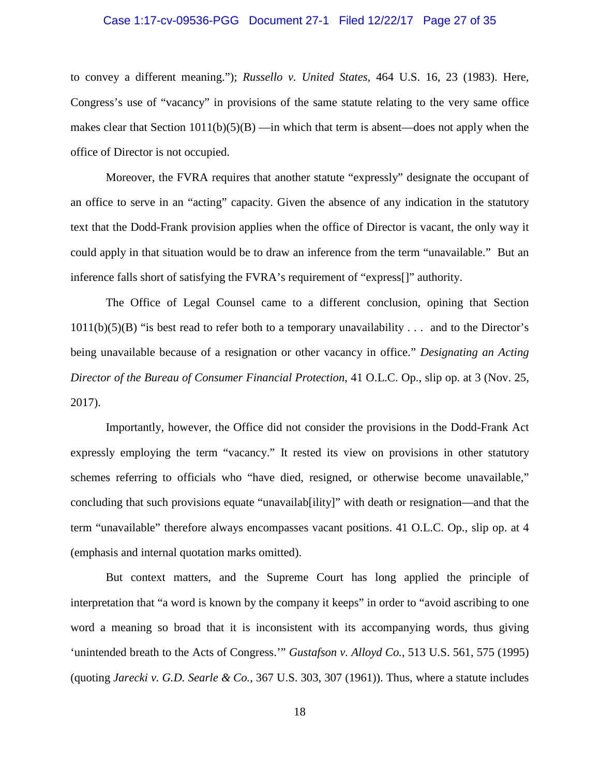#### Case 1:17-cv-09536-PGG Document 27-1 Filed 12/22/17 Page 27 of 35

to convey a different meaning."); *Russello v. United States*, 464 U.S. 16, 23 (1983). Here, Congress's use of "vacancy" in provisions of the same statute relating to the very same office makes clear that Section  $1011(b)(5)(B)$  —in which that term is absent—does not apply when the office of Director is not occupied.

Moreover, the FVRA requires that another statute "expressly" designate the occupant of an office to serve in an "acting" capacity. Given the absence of any indication in the statutory text that the Dodd-Frank provision applies when the office of Director is vacant, the only way it could apply in that situation would be to draw an inference from the term "unavailable." But an inference falls short of satisfying the FVRA's requirement of "express[]" authority.

The Office of Legal Counsel came to a different conclusion, opining that Section  $1011(b)(5)(B)$  "is best read to refer both to a temporary unavailability . . . and to the Director's being unavailable because of a resignation or other vacancy in office." *Designating an Acting Director of the Bureau of Consumer Financial Protection*, 41 O.L.C. Op., slip op. at 3 (Nov. 25, 2017).

Importantly, however, the Office did not consider the provisions in the Dodd-Frank Act expressly employing the term "vacancy." It rested its view on provisions in other statutory schemes referring to officials who "have died, resigned, or otherwise become unavailable," concluding that such provisions equate "unavailab[ility]" with death or resignation—and that the term "unavailable" therefore always encompasses vacant positions. 41 O.L.C. Op., slip op. at 4 (emphasis and internal quotation marks omitted).

But context matters, and the Supreme Court has long applied the principle of interpretation that "a word is known by the company it keeps" in order to "avoid ascribing to one word a meaning so broad that it is inconsistent with its accompanying words, thus giving 'unintended breath to the Acts of Congress.'" *Gustafson v. Alloyd Co.*, 513 U.S. 561, 575 (1995) (quoting *Jarecki v. G.D. Searle & Co.*, 367 U.S. 303, 307 (1961)). Thus, where a statute includes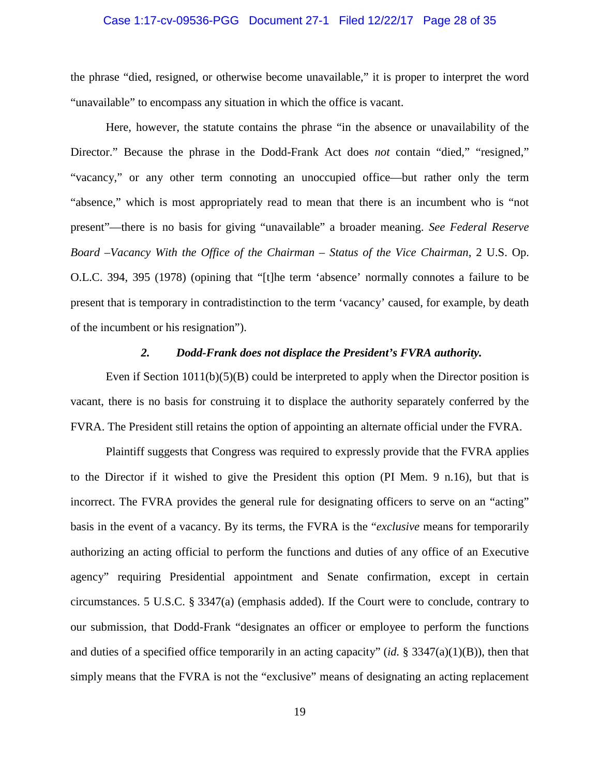#### Case 1:17-cv-09536-PGG Document 27-1 Filed 12/22/17 Page 28 of 35

the phrase "died, resigned, or otherwise become unavailable," it is proper to interpret the word "unavailable" to encompass any situation in which the office is vacant.

Here, however, the statute contains the phrase "in the absence or unavailability of the Director." Because the phrase in the Dodd-Frank Act does *not* contain "died," "resigned," "vacancy," or any other term connoting an unoccupied office—but rather only the term "absence," which is most appropriately read to mean that there is an incumbent who is "not present"—there is no basis for giving "unavailable" a broader meaning. *See Federal Reserve Board –Vacancy With the Office of the Chairman – Status of the Vice Chairman*, 2 U.S. Op. O.L.C. 394, 395 (1978) (opining that "[t]he term 'absence' normally connotes a failure to be present that is temporary in contradistinction to the term 'vacancy' caused, for example, by death of the incumbent or his resignation").

### *2. Dodd-Frank does not displace the President's FVRA authority.*

Even if Section  $1011(b)(5)(B)$  could be interpreted to apply when the Director position is vacant, there is no basis for construing it to displace the authority separately conferred by the FVRA. The President still retains the option of appointing an alternate official under the FVRA.

Plaintiff suggests that Congress was required to expressly provide that the FVRA applies to the Director if it wished to give the President this option (PI Mem. 9 n.16), but that is incorrect. The FVRA provides the general rule for designating officers to serve on an "acting" basis in the event of a vacancy. By its terms, the FVRA is the "*exclusive* means for temporarily authorizing an acting official to perform the functions and duties of any office of an Executive agency" requiring Presidential appointment and Senate confirmation, except in certain circumstances. 5 U.S.C. § 3347(a) (emphasis added). If the Court were to conclude, contrary to our submission, that Dodd-Frank "designates an officer or employee to perform the functions and duties of a specified office temporarily in an acting capacity" (*id.* § 3347(a)(1)(B)), then that simply means that the FVRA is not the "exclusive" means of designating an acting replacement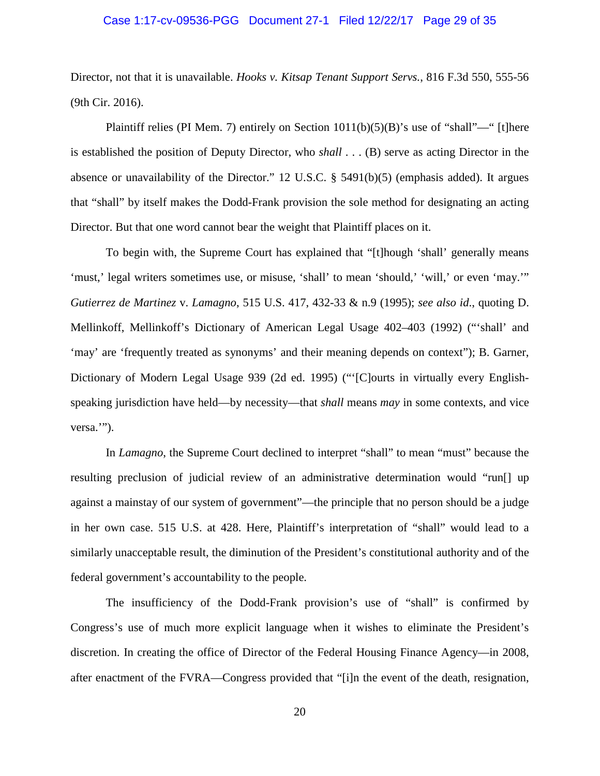#### Case 1:17-cv-09536-PGG Document 27-1 Filed 12/22/17 Page 29 of 35

Director, not that it is unavailable. *Hooks v. Kitsap Tenant Support Servs.*, 816 F.3d 550, 555-56 (9th Cir. 2016).

Plaintiff relies (PI Mem. 7) entirely on Section  $1011(b)(5)(B)$ 's use of "shall"—" [t]here is established the position of Deputy Director, who *shall* . . . (B) serve as acting Director in the absence or unavailability of the Director." 12 U.S.C. § 5491(b)(5) (emphasis added). It argues that "shall" by itself makes the Dodd-Frank provision the sole method for designating an acting Director. But that one word cannot bear the weight that Plaintiff places on it.

To begin with, the Supreme Court has explained that "[t]hough 'shall' generally means 'must,' legal writers sometimes use, or misuse, 'shall' to mean 'should,' 'will,' or even 'may.'" *Gutierrez de Martinez* v. *Lamagno*, 515 U.S. 417, 432-33 & n.9 (1995); *see also id*., quoting D. Mellinkoff, Mellinkoff's Dictionary of American Legal Usage 402–403 (1992) ("'shall' and 'may' are 'frequently treated as synonyms' and their meaning depends on context"); B. Garner, Dictionary of Modern Legal Usage 939 (2d ed. 1995) ("'[C]ourts in virtually every Englishspeaking jurisdiction have held—by necessity—that *shall* means *may* in some contexts, and vice versa.").

In *Lamagno*, the Supreme Court declined to interpret "shall" to mean "must" because the resulting preclusion of judicial review of an administrative determination would "run[] up against a mainstay of our system of government"—the principle that no person should be a judge in her own case. 515 U.S. at 428. Here, Plaintiff's interpretation of "shall" would lead to a similarly unacceptable result, the diminution of the President's constitutional authority and of the federal government's accountability to the people.

The insufficiency of the Dodd-Frank provision's use of "shall" is confirmed by Congress's use of much more explicit language when it wishes to eliminate the President's discretion. In creating the office of Director of the Federal Housing Finance Agency—in 2008, after enactment of the FVRA—Congress provided that "[i]n the event of the death, resignation,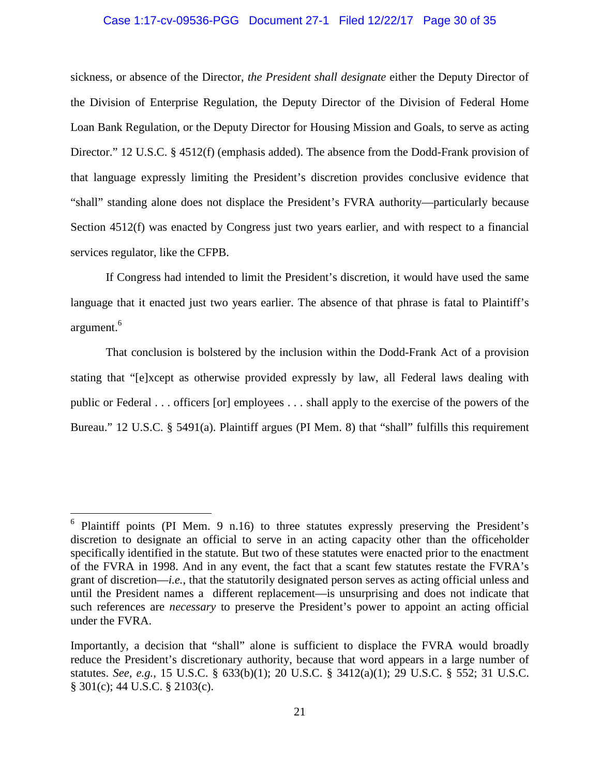#### Case 1:17-cv-09536-PGG Document 27-1 Filed 12/22/17 Page 30 of 35

sickness, or absence of the Director, *the President shall designate* either the Deputy Director of the Division of Enterprise Regulation, the Deputy Director of the Division of Federal Home Loan Bank Regulation, or the Deputy Director for Housing Mission and Goals, to serve as acting Director." 12 U.S.C. § 4512(f) (emphasis added). The absence from the Dodd-Frank provision of that language expressly limiting the President's discretion provides conclusive evidence that "shall" standing alone does not displace the President's FVRA authority—particularly because Section 4512(f) was enacted by Congress just two years earlier, and with respect to a financial services regulator, like the CFPB.

If Congress had intended to limit the President's discretion, it would have used the same language that it enacted just two years earlier. The absence of that phrase is fatal to Plaintiff's argument.<sup>6</sup>

That conclusion is bolstered by the inclusion within the Dodd-Frank Act of a provision stating that "[e]xcept as otherwise provided expressly by law, all Federal laws dealing with public or Federal . . . officers [or] employees . . . shall apply to the exercise of the powers of the Bureau." 12 U.S.C. § 5491(a). Plaintiff argues (PI Mem. 8) that "shall" fulfills this requirement

<sup>&</sup>lt;sup>6</sup> Plaintiff points (PI Mem. 9 n.16) to three statutes expressly preserving the President's discretion to designate an official to serve in an acting capacity other than the officeholder specifically identified in the statute. But two of these statutes were enacted prior to the enactment of the FVRA in 1998. And in any event, the fact that a scant few statutes restate the FVRA's grant of discretion—*i.e.*, that the statutorily designated person serves as acting official unless and until the President names a different replacement—is unsurprising and does not indicate that such references are *necessary* to preserve the President's power to appoint an acting official under the FVRA.

Importantly, a decision that "shall" alone is sufficient to displace the FVRA would broadly reduce the President's discretionary authority, because that word appears in a large number of statutes. *See, e.g.*, 15 U.S.C. § 633(b)(1); 20 U.S.C. § 3412(a)(1); 29 U.S.C. § 552; 31 U.S.C. § 301(c); 44 U.S.C. § 2103(c).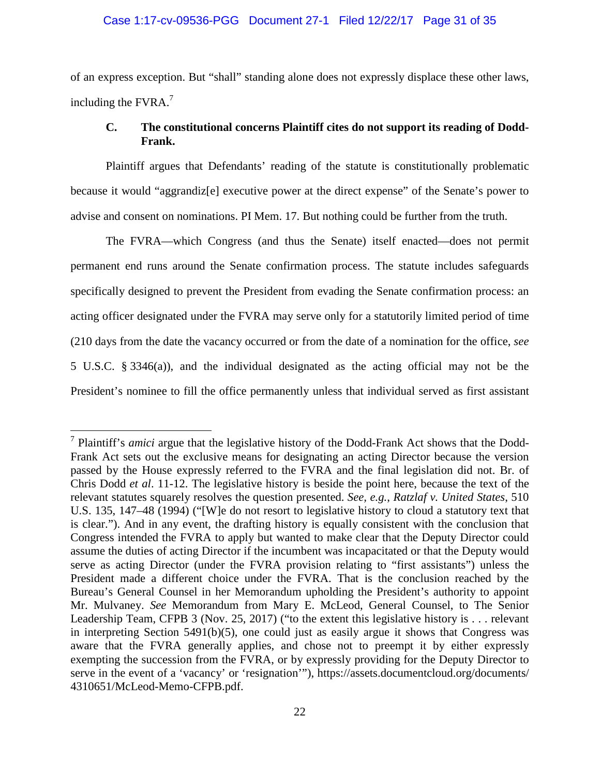#### Case 1:17-cv-09536-PGG Document 27-1 Filed 12/22/17 Page 31 of 35

of an express exception. But "shall" standing alone does not expressly displace these other laws, including the  $FVRA.<sup>7</sup>$ 

### **C. The constitutional concerns Plaintiff cites do not support its reading of Dodd-Frank.**

Plaintiff argues that Defendants' reading of the statute is constitutionally problematic because it would "aggrandiz[e] executive power at the direct expense" of the Senate's power to advise and consent on nominations. PI Mem. 17. But nothing could be further from the truth.

The FVRA—which Congress (and thus the Senate) itself enacted—does not permit permanent end runs around the Senate confirmation process. The statute includes safeguards specifically designed to prevent the President from evading the Senate confirmation process: an acting officer designated under the FVRA may serve only for a statutorily limited period of time (210 days from the date the vacancy occurred or from the date of a nomination for the office, *see* 5 U.S.C. § 3346(a)), and the individual designated as the acting official may not be the President's nominee to fill the office permanently unless that individual served as first assistant

<sup>7</sup> Plaintiff's *amici* argue that the legislative history of the Dodd-Frank Act shows that the Dodd-Frank Act sets out the exclusive means for designating an acting Director because the version passed by the House expressly referred to the FVRA and the final legislation did not. Br. of Chris Dodd *et al*. 11-12. The legislative history is beside the point here, because the text of the relevant statutes squarely resolves the question presented. *See, e.g.*, *Ratzlaf v. United States*, 510 U.S. 135, 147–48 (1994) ("[W]e do not resort to legislative history to cloud a statutory text that is clear."). And in any event, the drafting history is equally consistent with the conclusion that Congress intended the FVRA to apply but wanted to make clear that the Deputy Director could assume the duties of acting Director if the incumbent was incapacitated or that the Deputy would serve as acting Director (under the FVRA provision relating to "first assistants") unless the President made a different choice under the FVRA. That is the conclusion reached by the Bureau's General Counsel in her Memorandum upholding the President's authority to appoint Mr. Mulvaney. *See* Memorandum from Mary E. McLeod, General Counsel, to The Senior Leadership Team, CFPB 3 (Nov. 25, 2017) ("to the extent this legislative history is . . . relevant in interpreting Section 5491(b)(5), one could just as easily argue it shows that Congress was aware that the FVRA generally applies, and chose not to preempt it by either expressly exempting the succession from the FVRA, or by expressly providing for the Deputy Director to serve in the event of a 'vacancy' or 'resignation'"), https://assets.documentcloud.org/documents/ 4310651/McLeod-Memo-CFPB.pdf.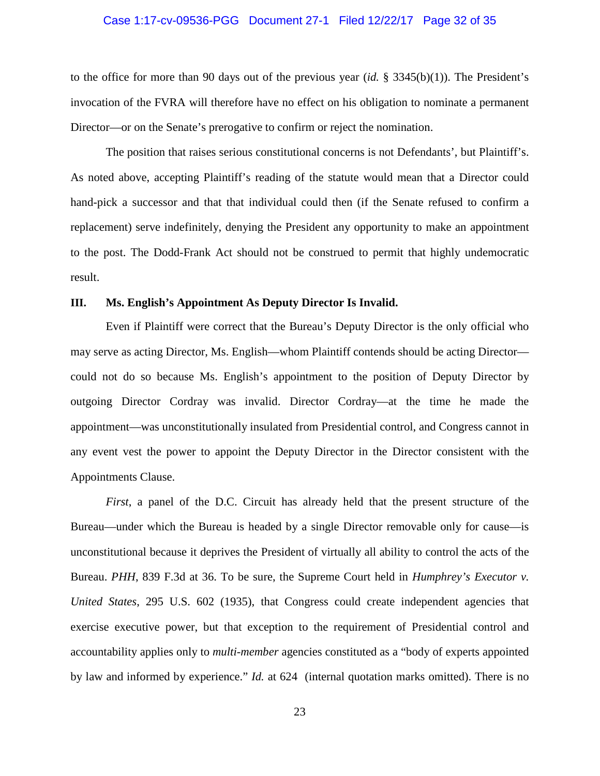#### Case 1:17-cv-09536-PGG Document 27-1 Filed 12/22/17 Page 32 of 35

to the office for more than 90 days out of the previous year (*id.* § 3345(b)(1)). The President's invocation of the FVRA will therefore have no effect on his obligation to nominate a permanent Director—or on the Senate's prerogative to confirm or reject the nomination.

The position that raises serious constitutional concerns is not Defendants', but Plaintiff's. As noted above, accepting Plaintiff's reading of the statute would mean that a Director could hand-pick a successor and that that individual could then (if the Senate refused to confirm a replacement) serve indefinitely, denying the President any opportunity to make an appointment to the post. The Dodd-Frank Act should not be construed to permit that highly undemocratic result.

### **III. Ms. English's Appointment As Deputy Director Is Invalid.**

Even if Plaintiff were correct that the Bureau's Deputy Director is the only official who may serve as acting Director, Ms. English—whom Plaintiff contends should be acting Director could not do so because Ms. English's appointment to the position of Deputy Director by outgoing Director Cordray was invalid. Director Cordray—at the time he made the appointment—was unconstitutionally insulated from Presidential control, and Congress cannot in any event vest the power to appoint the Deputy Director in the Director consistent with the Appointments Clause.

*First*, a panel of the D.C. Circuit has already held that the present structure of the Bureau—under which the Bureau is headed by a single Director removable only for cause—is unconstitutional because it deprives the President of virtually all ability to control the acts of the Bureau. *PHH*, 839 F.3d at 36. To be sure, the Supreme Court held in *Humphrey's Executor v. United States*, 295 U.S. 602 (1935), that Congress could create independent agencies that exercise executive power, but that exception to the requirement of Presidential control and accountability applies only to *multi-member* agencies constituted as a "body of experts appointed by law and informed by experience." *Id.* at 624 (internal quotation marks omitted). There is no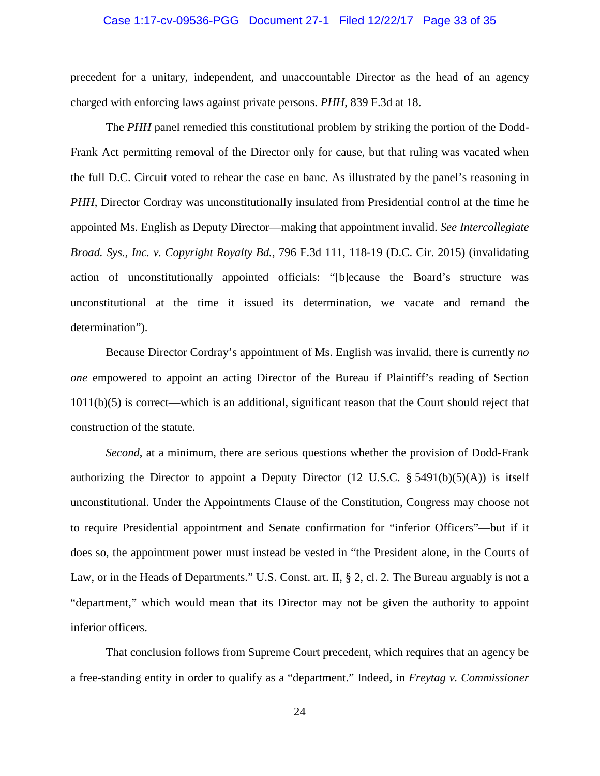#### Case 1:17-cv-09536-PGG Document 27-1 Filed 12/22/17 Page 33 of 35

precedent for a unitary, independent, and unaccountable Director as the head of an agency charged with enforcing laws against private persons. *PHH*, 839 F.3d at 18.

The *PHH* panel remedied this constitutional problem by striking the portion of the Dodd-Frank Act permitting removal of the Director only for cause, but that ruling was vacated when the full D.C. Circuit voted to rehear the case en banc. As illustrated by the panel's reasoning in *PHH*, Director Cordray was unconstitutionally insulated from Presidential control at the time he appointed Ms. English as Deputy Director—making that appointment invalid. *See Intercollegiate Broad. Sys., Inc. v. Copyright Royalty Bd.*, 796 F.3d 111, 118-19 (D.C. Cir. 2015) (invalidating action of unconstitutionally appointed officials: "[b]ecause the Board's structure was unconstitutional at the time it issued its determination, we vacate and remand the determination").

Because Director Cordray's appointment of Ms. English was invalid, there is currently *no one* empowered to appoint an acting Director of the Bureau if Plaintiff's reading of Section 1011(b)(5) is correct—which is an additional, significant reason that the Court should reject that construction of the statute.

*Second*, at a minimum, there are serious questions whether the provision of Dodd-Frank authorizing the Director to appoint a Deputy Director (12 U.S.C.  $\S$  5491(b)(5)(A)) is itself unconstitutional. Under the Appointments Clause of the Constitution, Congress may choose not to require Presidential appointment and Senate confirmation for "inferior Officers"—but if it does so, the appointment power must instead be vested in "the President alone, in the Courts of Law, or in the Heads of Departments." U.S. Const. art. II, § 2, cl. 2. The Bureau arguably is not a "department," which would mean that its Director may not be given the authority to appoint inferior officers.

That conclusion follows from Supreme Court precedent, which requires that an agency be a free-standing entity in order to qualify as a "department." Indeed, in *Freytag v. Commissioner*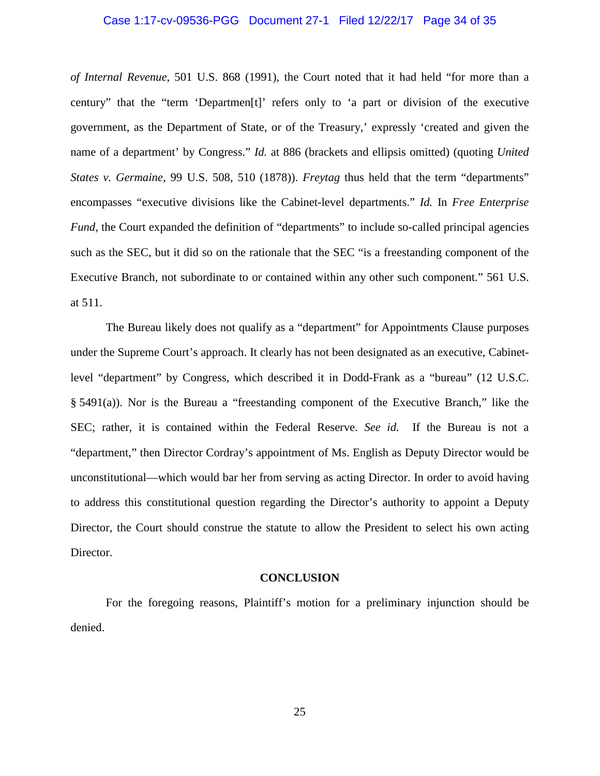#### Case 1:17-cv-09536-PGG Document 27-1 Filed 12/22/17 Page 34 of 35

*of Internal Revenue*, 501 U.S. 868 (1991), the Court noted that it had held "for more than a century" that the "term 'Departmen[t]' refers only to 'a part or division of the executive government, as the Department of State, or of the Treasury,' expressly 'created and given the name of a department' by Congress." *Id.* at 886 (brackets and ellipsis omitted) (quoting *United States v. Germaine*, 99 U.S. 508, 510 (1878)). *Freytag* thus held that the term "departments" encompasses "executive divisions like the Cabinet-level departments." *Id.* In *Free Enterprise Fund*, the Court expanded the definition of "departments" to include so-called principal agencies such as the SEC, but it did so on the rationale that the SEC "is a freestanding component of the Executive Branch, not subordinate to or contained within any other such component." 561 U.S. at 511.

The Bureau likely does not qualify as a "department" for Appointments Clause purposes under the Supreme Court's approach. It clearly has not been designated as an executive, Cabinetlevel "department" by Congress, which described it in Dodd-Frank as a "bureau" (12 U.S.C. § 5491(a)). Nor is the Bureau a "freestanding component of the Executive Branch," like the SEC; rather, it is contained within the Federal Reserve. *See id.* If the Bureau is not a "department," then Director Cordray's appointment of Ms. English as Deputy Director would be unconstitutional—which would bar her from serving as acting Director. In order to avoid having to address this constitutional question regarding the Director's authority to appoint a Deputy Director, the Court should construe the statute to allow the President to select his own acting Director.

#### **CONCLUSION**

For the foregoing reasons, Plaintiff's motion for a preliminary injunction should be denied.